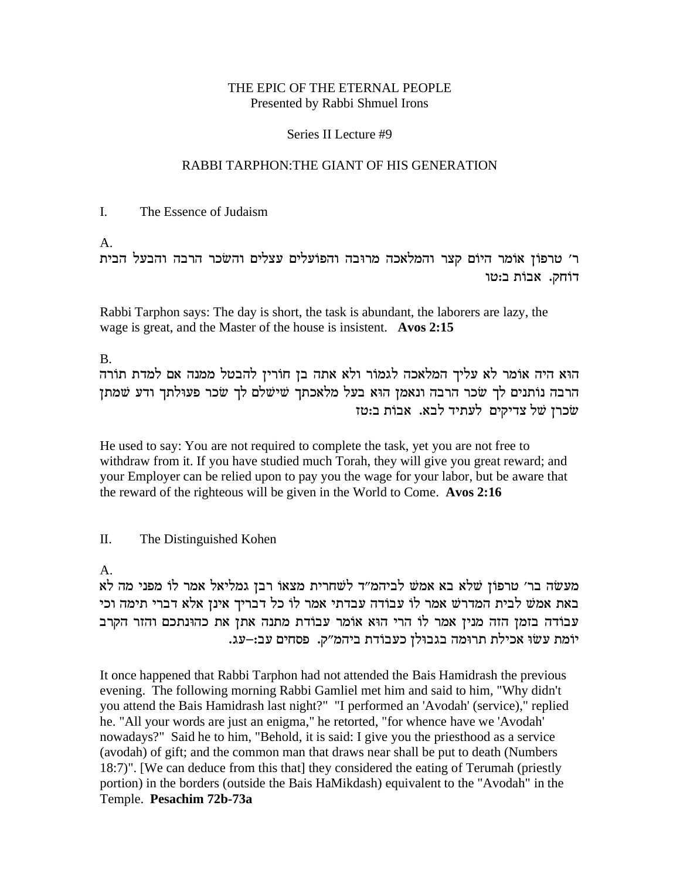### THE EPIC OF THE ETERNAL PEOPLE Presented by Rabbi Shmuel Irons

### Series II Lecture #9

### RABBI TARPHON:THE GIANT OF HIS GENERATION

I. The Essence of Judaism

A.

ר' טרפון אומר היום קצר והמלאכה מרובה והפועלים עצלים והשכר הרבה והבעל הבית דוֹחק. אבות ב:טו

Rabbi Tarphon says: The day is short, the task is abundant, the laborers are lazy, the wage is great, and the Master of the house is insistent. **Avos 2:15**

B.

הוא היה אומר לא עליך המלאכה לגמור ולא אתה בן חורין להבטל ממנה אם למדת תורה הרבה נוֹתנים לך שׂכר הרבה ונאמז הוּא בעל מלאכתך שׁישׁלם לך שׂכר פעוּלתך ודע שׁמתז שכרן של צדיקים לעתיד לבא. אבות ב:טז

He used to say: You are not required to complete the task, yet you are not free to withdraw from it. If you have studied much Torah, they will give you great reward; and your Employer can be relied upon to pay you the wage for your labor, but be aware that the reward of the righteous will be given in the World to Come. **Avos 2:16**

## II. The Distinguished Kohen

A.

מעשה בר' טרפון שלא בא אמש לביהמ"ד לשחרית מצאו רבן גמליאל אמר לו מפני מה לא באת אמש לבית המדרש אמר לו עבודה עבדתי אמר לו כל דבריך אינן אלא דברי תימה וכי עבודה בזמן הזה מנין אמר לו הרי הוא אומר עבודת מתנה אתן את כהונתכם והזר הקרב יומת עשו אכילת תרומה בגבולן כעבודת ביהמ"ק. פסחים עב:-עג.

It once happened that Rabbi Tarphon had not attended the Bais Hamidrash the previous evening. The following morning Rabbi Gamliel met him and said to him, "Why didn't you attend the Bais Hamidrash last night?" "I performed an 'Avodah' (service)," replied he. "All your words are just an enigma," he retorted, "for whence have we 'Avodah' nowadays?" Said he to him, "Behold, it is said: I give you the priesthood as a service (avodah) of gift; and the common man that draws near shall be put to death (Numbers 18:7)". [We can deduce from this that] they considered the eating of Terumah (priestly portion) in the borders (outside the Bais HaMikdash) equivalent to the "Avodah" in the Temple. **Pesachim 72b-73a**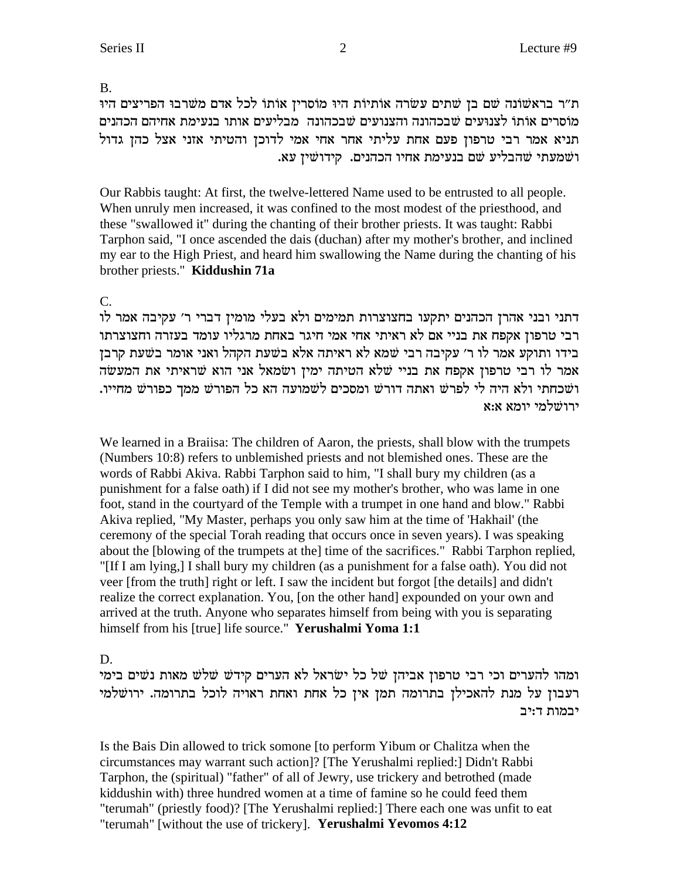B.

ת״ר בראשׂוֹנה שם בן שתים עשׂרה אוֹתיוֹת היוּ מוֹסריז אוֹתוֹ לכל אדם משׁרבוּ הפריצים היוּ מוֹסרים אוֹתוֹ לצנוּעים שבכהונה והצנועים שבכהונה מבליעים אותו בנעימת אחיהם הכהנים תניא אמר רבי טרפון פעם אחת עליתי אחר אחי אמי לדוכן והטיתי אזני אצל כהן גדול .<br>ושמעתי שהבליע שם בנעימת אחיו הכהנים. קידושין עא

Our Rabbis taught: At first, the twelve-lettered Name used to be entrusted to all people. When unruly men increased, it was confined to the most modest of the priesthood, and these "swallowed it" during the chanting of their brother priests. It was taught: Rabbi Tarphon said, "I once ascended the dais (duchan) after my mother's brother, and inclined my ear to the High Priest, and heard him swallowing the Name during the chanting of his brother priests." **Kiddushin 71a**

 $C_{\cdot}$ 

דתני ובני אהרן הכהנים יתקעו בחצוצרות תמימים ולא בעלי מומין דברי ר׳ עקיבה אמר לו רבי טרפון אקפח את בניי אם לא ראיתי אחי אמי חיגר באחת מרגליו עומד בעזרה וחצוצרתו בידו ותוקע אמר לו ר' עקיבה רבי שמא לא ראיתה אלא בשעת הקהל ואני אומר בשעת קרבן אמר לו רבי טרפון אקפח את בניי שלא הטיתה ימין ושמאל אני הוא שראיתי את המעשה .<br>ושכחתי ולא היה לי לפרש ואתה דורש ומסכים לשמועה הא כל הפורש ממך כפורש מחייו ירו $\forall$ מי יומא א

We learned in a Braiisa: The children of Aaron, the priests, shall blow with the trumpets (Numbers 10:8) refers to unblemished priests and not blemished ones. These are the words of Rabbi Akiva. Rabbi Tarphon said to him, "I shall bury my children (as a punishment for a false oath) if I did not see my mother's brother, who was lame in one foot, stand in the courtyard of the Temple with a trumpet in one hand and blow." Rabbi Akiva replied, "My Master, perhaps you only saw him at the time of 'Hakhail' (the ceremony of the special Torah reading that occurs once in seven years). I was speaking about the [blowing of the trumpets at the] time of the sacrifices." Rabbi Tarphon replied, "[If I am lying,] I shall bury my children (as a punishment for a false oath). You did not veer [from the truth] right or left. I saw the incident but forgot [the details] and didn't realize the correct explanation. You, [on the other hand] expounded on your own and arrived at the truth. Anyone who separates himself from being with you is separating himself from his [true] life source." **Yerushalmi Yoma 1:1**

D.

ומהו להערים וכי רבי טרפון אביהן של כל ישראל לא הערים קידש שלש מאות נשים בימי רעבון על מנת להאכילן בתרומה תמן אין כל אחת ואחת ראויה לוכל בתרומה. ירושלמי יבמות ד:יב

Is the Bais Din allowed to trick somone [to perform Yibum or Chalitza when the circumstances may warrant such action]? [The Yerushalmi replied:] Didn't Rabbi Tarphon, the (spiritual) "father" of all of Jewry, use trickery and betrothed (made kiddushin with) three hundred women at a time of famine so he could feed them "terumah" (priestly food)? [The Yerushalmi replied:] There each one was unfit to eat "terumah" [without the use of trickery]. **Yerushalmi Yevomos 4:12**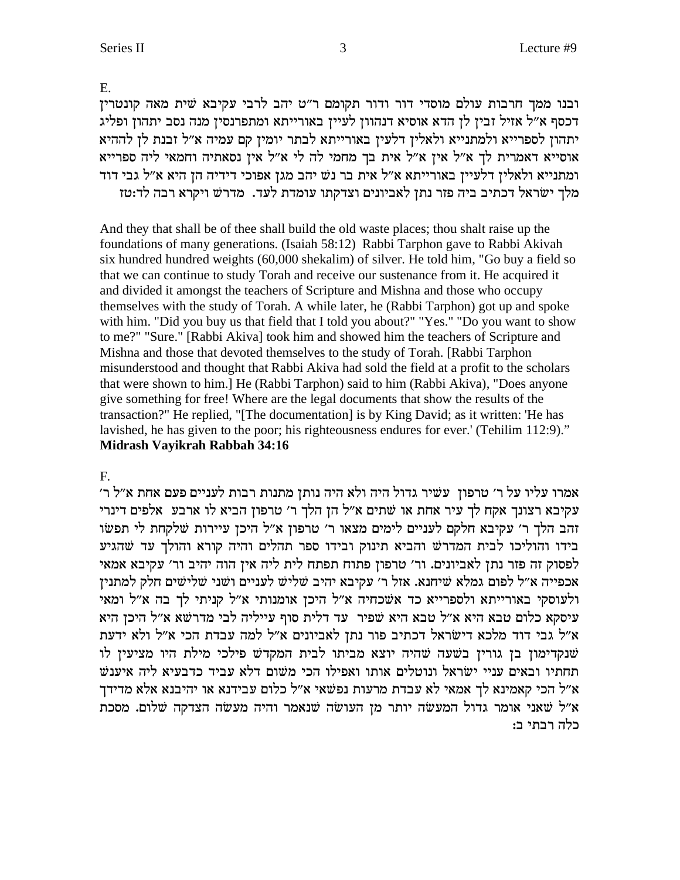אמרו עליו על ר׳ טרפון עשיר גדול היה ולא היה נותן מתנות רבות לעניים פעם אחת א״ל ר׳ עקיבא רצונך אקח לך עיר אחת או שתים א"ל הן הלך ר' טרפון הביא לו ארבע אלפים דינרי זהב הלך ר׳ עקיבא חלקם לעניים לימים מצאו ר׳ טרפון א״ל היכן עיירות שלקחת לי תפשו בידו והוליכו לבית המדרש והביא תינוק ובידו ספר תהלים והיה קורא והולך עד שהגיע לפסוק זה פזר נתן לאביונים. ור׳ טרפון פתוח תפתח לית ליה אין הוה יהיב ור׳ עקיבא אמאי אכפייה א״ל לפום גמלא שיחנא. אזל ר׳ עקיבא יהיב שליש לעניים ושני שלישים חלק למתנין ולעוסקי באורייתא ולספרייא כד אשכחיה א"ל היכן אומנותי א"ל קניתי לך בה א"ל ומאי עיסקא כלום טבא היא א"ל טבא היא שפיר עד דלית סוף עייליה לבי מדרשא א"ל היכן היא א״ל גבי דוד מלכא דישראל דכתיב פור נתן לאביונים א״ל למה עבדת הכי א״ל ולא ידעת שנקדימון בן גורין בשעה שהיה יוצא מביתו לבית המקדש פילכי מילת היו מציעין לו תחתיו ובאים עניי ישראל ונוטלים אותו ואפילו הכי משום דלא עביד כדבעיא ליה איענש א״ל הכי קאמינא לך אמאי לא עבדת מרעות נפשאי א״ל כלום עבידנא או יהיבנא אלא מדידך א״ל שאני אומר גדול המעשה יותר מן העושה שנאמר והיה מעשה הצדקה שלום. מסכת :כלה רבתי ב

And they that shall be of thee shall build the old waste places; thou shalt raise up the foundations of many generations. (Isaiah 58:12) Rabbi Tarphon gave to Rabbi Akivah six hundred hundred weights (60,000 shekalim) of silver. He told him, "Go buy a field so that we can continue to study Torah and receive our sustenance from it. He acquired it and divided it amongst the teachers of Scripture and Mishna and those who occupy themselves with the study of Torah. A while later, he (Rabbi Tarphon) got up and spoke with him. "Did you buy us that field that I told you about?" "Yes." "Do you want to show to me?" "Sure." [Rabbi Akiva] took him and showed him the teachers of Scripture and Mishna and those that devoted themselves to the study of Torah. [Rabbi Tarphon misunderstood and thought that Rabbi Akiva had sold the field at a profit to the scholars that were shown to him.] He (Rabbi Tarphon) said to him (Rabbi Akiva), "Does anyone give something for free! Where are the legal documents that show the results of the transaction?" He replied, "[The documentation] is by King David; as it written: 'He has lavished, he has given to the poor; his righteousness endures for ever.' (Tehilim 112:9)." **Midrash Vayikrah Rabbah 34:16**

E. ובנו ממך חרבות עולם מוסדי דור ודור תקומם ר"ט יהב לרבי עקיבא שית מאה קונטרין דכסף א״ל אזיל זבין לן הדא אוסיא דנהוון לעיין באורייתא ומתפרנסין מנה נסב יתהון ופליג יתהון לספרייא ולמתנייא ולאלין דלעין באורייתא לבתר יומין קם עמיה א"ל זבנת לן לההיא אוסייא דאמרית לך א"ל אין א"ל אית בך מחמי לה לי א"ל אין נסאתיה וחמאי ליה ספרייא ומתנייא ולאלין דלעיין באורייתא א"ל אית בר נשׁ יהב מגן אפוכי דידיה הן היא א"ל גבי דוד מלך ישראל דכתיב ביה פזר נתן לאביונים וצדקתו עומדת לעד. מדרש ויקרא רבה לד:טז

F.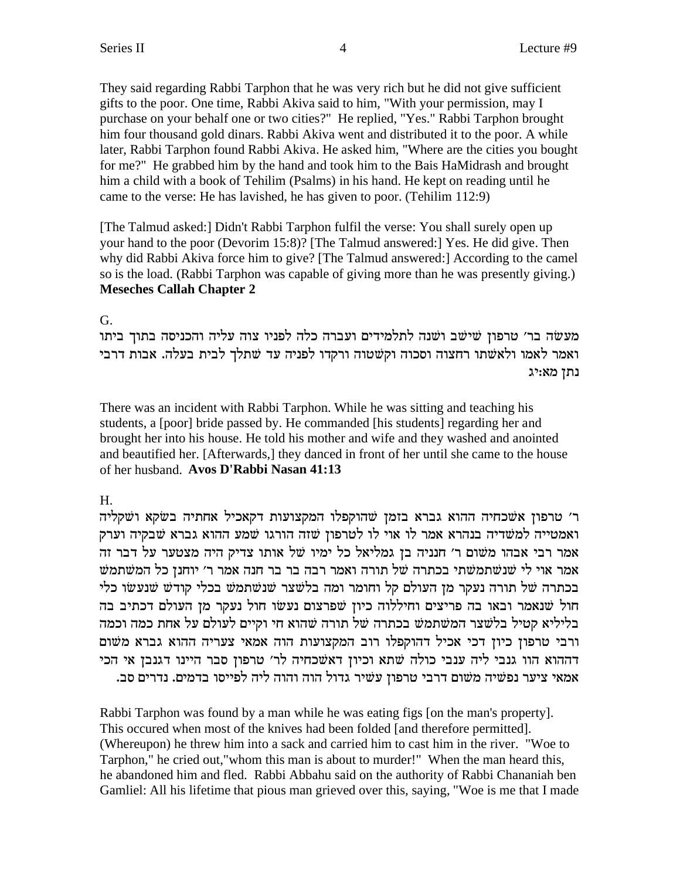They said regarding Rabbi Tarphon that he was very rich but he did not give sufficient gifts to the poor. One time, Rabbi Akiva said to him, "With your permission, may I purchase on your behalf one or two cities?" He replied, "Yes." Rabbi Tarphon brought him four thousand gold dinars. Rabbi Akiva went and distributed it to the poor. A while later, Rabbi Tarphon found Rabbi Akiva. He asked him, "Where are the cities you bought for me?" He grabbed him by the hand and took him to the Bais HaMidrash and brought him a child with a book of Tehilim (Psalms) in his hand. He kept on reading until he came to the verse: He has lavished, he has given to poor. (Tehilim 112:9)

[The Talmud asked:] Didn't Rabbi Tarphon fulfil the verse: You shall surely open up your hand to the poor (Devorim 15:8)? [The Talmud answered:] Yes. He did give. Then why did Rabbi Akiva force him to give? [The Talmud answered:] According to the camel so is the load. (Rabbi Tarphon was capable of giving more than he was presently giving.) **Meseches Callah Chapter 2**

G.

מעשׂה בר׳ טרפון שׁישׁב ושׁנה לתלמידים ועברה כלה לפניו צוה עליה והכניסה בתוך ביתו ואמר לאמו ולאשתו רחצוה וסכוה וקשטוה ורקדו לפניה עד שתלך לבית בעלה. אבות דרבי נתן מא:יג

There was an incident with Rabbi Tarphon. While he was sitting and teaching his students, a [poor] bride passed by. He commanded [his students] regarding her and brought her into his house. He told his mother and wife and they washed and anointed and beautified her. [Afterwards,] they danced in front of her until she came to the house of her husband. **Avos D'Rabbi Nasan 41:13**

H.

ר' טרפון אשכחיה ההוא גברא בזמן שהוקפלו המקצועות דקאכיל אחתיה בשקא ושקליה ואמטייה למשדיה בנהרא אמר לו אוי לו לטרפון שזה הורגו שמע ההוא גברא שבקיה וערק אמר רבי אבהו משום ר' חנניה בן גמליאל כל ימיו של אותו צדיק היה מצטער על דבר זה אמר אוי לי שנשתמשתי בכתרה של תורה ואמר רבה בר בר חנה אמר ר׳ יוחנן כל המשתמש בכתרה של תורה נעקר מן העולם קל וחומר ומה בלשצר שנשתמש בכלי קודש שנעשו כלי חול שנאמר ובאו בה פריצים וחיללוה כיון שפרצום נעשו חול נעקר מן העולם דכתיב בה בליליא קטיל בלשצר המשתמש בכתרה של תורה שהוא חי וקיים לעולם על אחת כמה וכמה ורבי טרפון כיון דכי אכיל דהוקפלו רוב המקצועות הוה אמאי צעריה ההוא גברא משום דההוא הוו גנבי ליה ענבי כולה שתא וכיון דאשכחיה לר׳ טרפון סבר היינו דגנבן אי הכי .<br>אמאי ציער נפשיה משום דרבי טרפון עשיר גדול הוה והוה ליה לפייסו בדמים. נדרים סב

Rabbi Tarphon was found by a man while he was eating figs [on the man's property]. This occured when most of the knives had been folded [and therefore permitted]. (Whereupon) he threw him into a sack and carried him to cast him in the river. "Woe to Tarphon," he cried out,"whom this man is about to murder!" When the man heard this, he abandoned him and fled. Rabbi Abbahu said on the authority of Rabbi Chananiah ben Gamliel: All his lifetime that pious man grieved over this, saying, "Woe is me that I made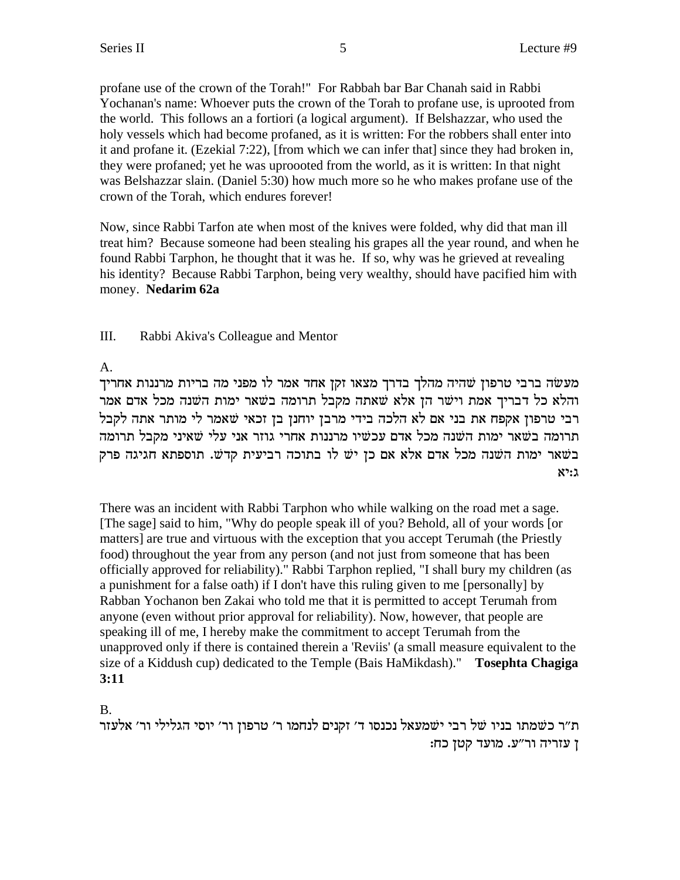profane use of the crown of the Torah!" For Rabbah bar Bar Chanah said in Rabbi Yochanan's name: Whoever puts the crown of the Torah to profane use, is uprooted from the world. This follows an a fortiori (a logical argument). If Belshazzar, who used the holy vessels which had become profaned, as it is written: For the robbers shall enter into it and profane it. (Ezekial 7:22), [from which we can infer that] since they had broken in, they were profaned; yet he was uproooted from the world, as it is written: In that night was Belshazzar slain. (Daniel 5:30) how much more so he who makes profane use of the crown of the Torah, which endures forever!

Now, since Rabbi Tarfon ate when most of the knives were folded, why did that man ill treat him? Because someone had been stealing his grapes all the year round, and when he found Rabbi Tarphon, he thought that it was he. If so, why was he grieved at revealing his identity? Because Rabbi Tarphon, being very wealthy, should have pacified him with money. **Nedarim 62a**

III. Rabbi Akiva's Colleague and Mentor

A.

מעשה ברבי טרפון שהיה מהלך בדרך מצאו זקן אחד אמר לו מפני מה בריות מרננות אחריך והלא כל דבריך אמת וישר הן אלא שאתה מקבל תרומה בשאר ימות השנה מכל אדם אמר רבי טרפון אקפח את בני אם לא הלכה בידי מרבן יוחנן בן זכאי שאמר לי מותר אתה לקבל תרומה בשאר ימות השנה מכל אדם עכשיו מרננות אחרי גוזר אני עלי שאיני מקבל תרומה בשאר ימות השנה מכל אדם אלא אם כן יש לו בתוכה רביעית קדש. תוספתא חגיגה פרק  $x$  $: \lambda$ 

There was an incident with Rabbi Tarphon who while walking on the road met a sage. [The sage] said to him, "Why do people speak ill of you? Behold, all of your words [or matters] are true and virtuous with the exception that you accept Terumah (the Priestly food) throughout the year from any person (and not just from someone that has been officially approved for reliability)." Rabbi Tarphon replied, "I shall bury my children (as a punishment for a false oath) if I don't have this ruling given to me [personally] by Rabban Yochanon ben Zakai who told me that it is permitted to accept Terumah from anyone (even without prior approval for reliability). Now, however, that people are speaking ill of me, I hereby make the commitment to accept Terumah from the unapproved only if there is contained therein a 'Reviis' (a small measure equivalent to the size of a Kiddush cup) dedicated to the Temple (Bais HaMikdash)." **Tosephta Chagiga 3:11**

B.

ת״ר כשמתו בניו של רבי ישמעאל נכנסו ד׳ זקנים לנחמו ר׳ טרפון ור׳ יוסי הגלילי ור׳ אלעזר : ז עזריה ור"ע. מועד קטן כח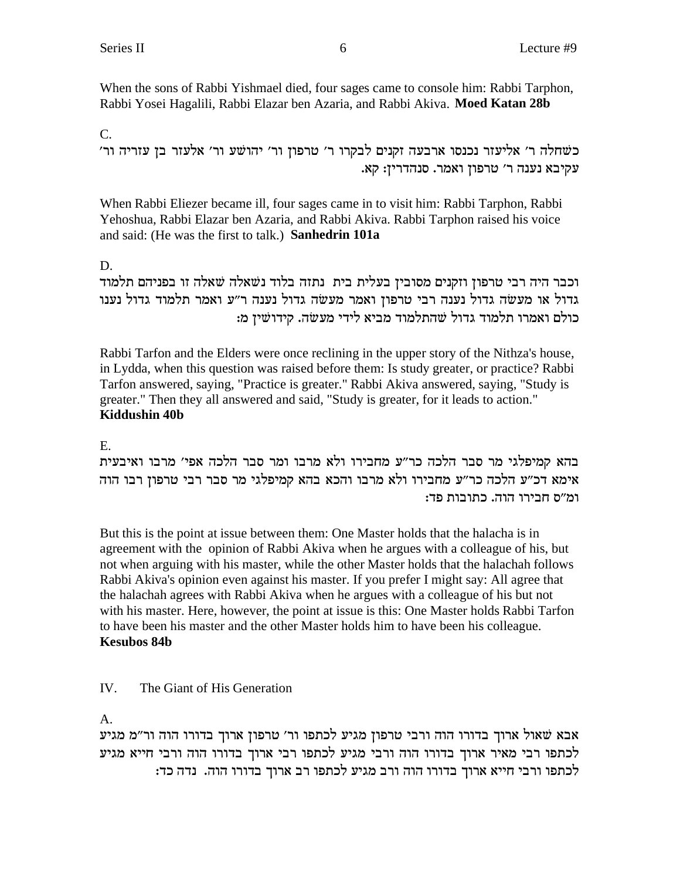When the sons of Rabbi Yishmael died, four sages came to console him: Rabbi Tarphon, Rabbi Yosei Hagalili, Rabbi Elazar ben Azaria, and Rabbi Akiva. **Moed Katan 28b**

### C.

'כשחלה ר' אליעזר נכנסו ארבעה זקנים לבקרו ר' טרפון ור' יהושע ור' אלעזר בן עזריה ור .<br>עקיבא נענה ר' טרפון ואמר. סנהדרין: קא

When Rabbi Eliezer became ill, four sages came in to visit him: Rabbi Tarphon, Rabbi Yehoshua, Rabbi Elazar ben Azaria, and Rabbi Akiva. Rabbi Tarphon raised his voice and said: (He was the first to talk.) **Sanhedrin 101a**

## D.

וכבר היה רבי טרפון וזקנים מסובין בעלית בית נתזה בלוד נשאלה שאלה זו בפניהם תלמוד גדול או מעשה גדול נענה רבי טרפון ואמר מעשה גדול נענה ר״ע ואמר תלמוד גדול נענו :כולם ואמרו תלמוד גדול שהתלמוד מביא לידי מעשה. קידושין מ

Rabbi Tarfon and the Elders were once reclining in the upper story of the Nithza's house, in Lydda, when this question was raised before them: Is study greater, or practice? Rabbi Tarfon answered, saying, "Practice is greater." Rabbi Akiva answered, saying, "Study is greater." Then they all answered and said, "Study is greater, for it leads to action." **Kiddushin 40b**

E.

בהא קמיפלגי מר סבר הלכה כר״ע מחבירו ולא מרבו ומר סבר הלכה אפי׳ מרבו ואיבעית אימא דכ״ע הלכה כר״ע מחבירו ולא מרבו והכא בהא קמיפלגי מר סבר רבי טרפון רבו הוה ומ״ס חבירו הוה. כתובות פד:

But this is the point at issue between them: One Master holds that the halacha is in agreement with the opinion of Rabbi Akiva when he argues with a colleague of his, but not when arguing with his master, while the other Master holds that the halachah follows Rabbi Akiva's opinion even against his master. If you prefer I might say: All agree that the halachah agrees with Rabbi Akiva when he argues with a colleague of his but not with his master. Here, however, the point at issue is this: One Master holds Rabbi Tarfon to have been his master and the other Master holds him to have been his colleague. **Kesubos 84b**

# IV. The Giant of His Generation

A.

אבא שאול ארוך בדורו הוה ורבי טרפון מגיע לכתפו ור׳ טרפון ארוך בדורו הוה ור״מ מגיע לכתפו רבי מאיר ארוך בדורו הוה ורבי מגיע לכתפו רבי ארוך בדורו הוה ורבי חייא מגיע לכתפו ורבי חייא ארוך בדורו הוה ורב מגיע לכתפו רב ארוך בדורו הוה. נדה כד: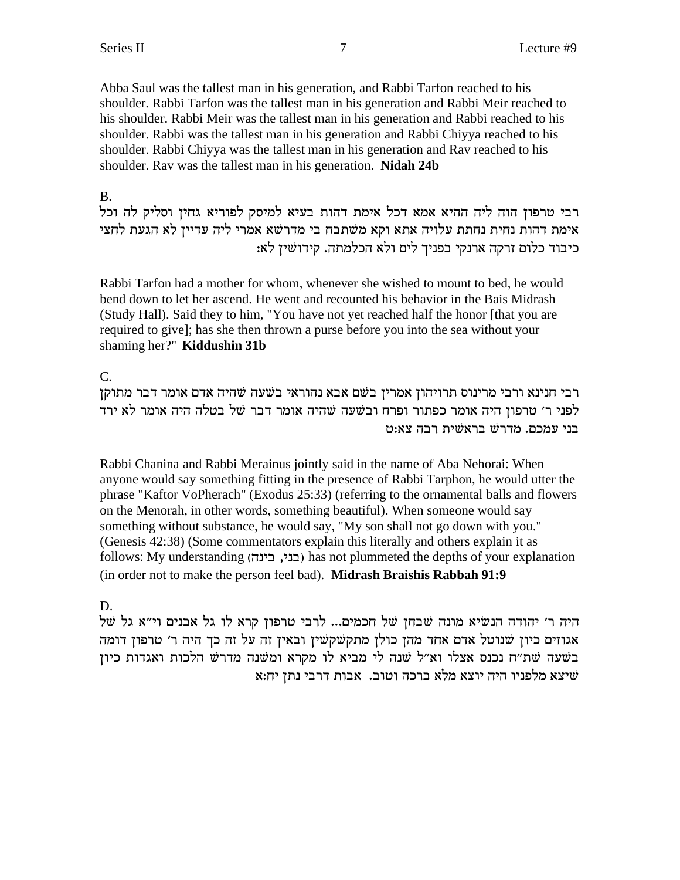Abba Saul was the tallest man in his generation, and Rabbi Tarfon reached to his shoulder. Rabbi Tarfon was the tallest man in his generation and Rabbi Meir reached to his shoulder. Rabbi Meir was the tallest man in his generation and Rabbi reached to his shoulder. Rabbi was the tallest man in his generation and Rabbi Chiyya reached to his shoulder. Rabbi Chiyya was the tallest man in his generation and Rav reached to his shoulder. Rav was the tallest man in his generation. **Nidah 24b**

### B.

ובי טרפון הוה ליה ההיא אמא דכל אימת דהות בעיא למיסק לפוריא גחין וסליק לה וכל אימת דהות נחית נחתת עלויה אתא וקא משתבח בי מדרשא אמרי ליה עדיין לא הגעת לחצי כיבוד כלום זרקה ארנקי בפניך לים ולא הכלמתה. קידושין לא:

Rabbi Tarfon had a mother for whom, whenever she wished to mount to bed, he would bend down to let her ascend. He went and recounted his behavior in the Bais Midrash (Study Hall). Said they to him, "You have not yet reached half the honor [that you are required to give]; has she then thrown a purse before you into the sea without your shaming her?" **Kiddushin 31b**

### C.

רבי חנינא ורבי מרינוס תרויהון אמרין בשם אבא נהוראי בשעה שהיה אדם אומר דבר מתוקן  $\stackrel{\sim}{\sim}$ לפני ר׳ טרפון היה אומר כפתור ופרח ובשעה שהיה אומר לא ירד בני עמכם. מדרש בראשית רבה צא:ט

Rabbi Chanina and Rabbi Merainus jointly said in the name of Aba Nehorai: When anyone would say something fitting in the presence of Rabbi Tarphon, he would utter the phrase "Kaftor VoPherach" (Exodus 25:33) (referring to the ornamental balls and flowers on the Menorah, in other words, something beautiful). When someone would say something without substance, he would say, "My son shall not go down with you." (Genesis 42:38) (Some commentators explain this literally and others explain it as follows: My understanding (בני, בינה) has not plummeted the depths of your explanation (in order not to make the person feel bad). **Midrash Braishis Rabbah 91:9**

## D.

היה ר׳ יהודה הנשיא מונה שבחן של חכמים... לרבי טרפון קרא לו גל אבנים וי״א גל של אגוזים כיון שנוטל אדם אחד מהן כולן מתקשקשין ובאין זה על זה כך היה ר׳ טרפון דומה בשעה שת"ח נכנס אצלו וא"ל שנה לי מביא לו מקרא ומשנה מדרש הלכות ואגדות כיון טיצא מלפניו היה יוצא מלא ברכה וטוב. אבות דרבי נתן יח:א  $\dot{w}$